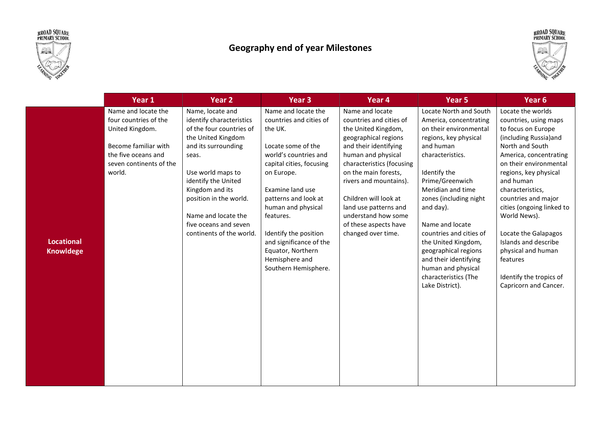



## Geography end of year Milestones



|                                       | Year 1                                                                                                                                              | Year 2                                                                                                                                                                                                                                                                                              | Year 3                                                                                                                                                                                                                                                                                                                                               | Year 4                                                                                                                                                                                                                                                                                                                                          | Year 5                                                                                                                                                                                                                                                                                                                                                                                                                     | Year <sub>6</sub>                                                                                                                                                                                                                                                                                                                                                                                                                     |
|---------------------------------------|-----------------------------------------------------------------------------------------------------------------------------------------------------|-----------------------------------------------------------------------------------------------------------------------------------------------------------------------------------------------------------------------------------------------------------------------------------------------------|------------------------------------------------------------------------------------------------------------------------------------------------------------------------------------------------------------------------------------------------------------------------------------------------------------------------------------------------------|-------------------------------------------------------------------------------------------------------------------------------------------------------------------------------------------------------------------------------------------------------------------------------------------------------------------------------------------------|----------------------------------------------------------------------------------------------------------------------------------------------------------------------------------------------------------------------------------------------------------------------------------------------------------------------------------------------------------------------------------------------------------------------------|---------------------------------------------------------------------------------------------------------------------------------------------------------------------------------------------------------------------------------------------------------------------------------------------------------------------------------------------------------------------------------------------------------------------------------------|
| <b>Locational</b><br><b>Knowldege</b> | Name and locate the<br>four countries of the<br>United Kingdom.<br>Become familiar with<br>the five oceans and<br>seven continents of the<br>world. | Name, locate and<br>identify characteristics<br>of the four countries of<br>the United Kingdom<br>and its surrounding<br>seas.<br>Use world maps to<br>identify the United<br>Kingdom and its<br>position in the world.<br>Name and locate the<br>five oceans and seven<br>continents of the world. | Name and locate the<br>countries and cities of<br>the UK.<br>Locate some of the<br>world's countries and<br>capital cities, focusing<br>on Europe.<br>Examine land use<br>patterns and look at<br>human and physical<br>features.<br>Identify the position<br>and significance of the<br>Equator, Northern<br>Hemisphere and<br>Southern Hemisphere. | Name and locate<br>countries and cities of<br>the United Kingdom,<br>geographical regions<br>and their identifying<br>human and physical<br>characteristics (focusing<br>on the main forests,<br>rivers and mountains).<br>Children will look at<br>land use patterns and<br>understand how some<br>of these aspects have<br>changed over time. | Locate North and South<br>America, concentrating<br>on their environmental<br>regions, key physical<br>and human<br>characteristics.<br>Identify the<br>Prime/Greenwich<br>Meridian and time<br>zones (including night<br>and day).<br>Name and locate<br>countries and cities of<br>the United Kingdom,<br>geographical regions<br>and their identifying<br>human and physical<br>characteristics (The<br>Lake District). | Locate the worlds<br>countries, using maps<br>to focus on Europe<br>(including Russia) and<br>North and South<br>America, concentrating<br>on their environmental<br>regions, key physical<br>and human<br>characteristics,<br>countries and major<br>cities (ongoing linked to<br>World News).<br>Locate the Galapagos<br>Islands and describe<br>physical and human<br>features<br>Identify the tropics of<br>Capricorn and Cancer. |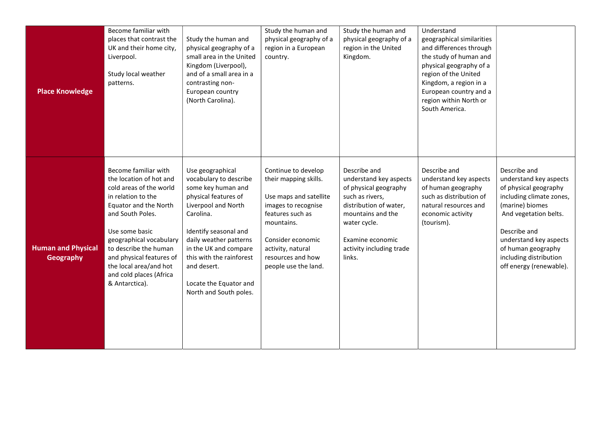| <b>Place Knowledge</b>                        | Become familiar with<br>places that contrast the<br>UK and their home city,<br>Liverpool.<br>Study local weather<br>patterns.                                                                                                                                                                                          | Study the human and<br>physical geography of a<br>small area in the United<br>Kingdom (Liverpool),<br>and of a small area in a<br>contrasting non-<br>European country<br>(North Carolina).                                                                                                             | Study the human and<br>physical geography of a<br>region in a European<br>country.                                                                                                                                     | Study the human and<br>physical geography of a<br>region in the United<br>Kingdom.                                                                                                                          | Understand<br>geographical similarities<br>and differences through<br>the study of human and<br>physical geography of a<br>region of the United<br>Kingdom, a region in a<br>European country and a<br>region within North or<br>South America. |                                                                                                                                                                                                                                                              |
|-----------------------------------------------|------------------------------------------------------------------------------------------------------------------------------------------------------------------------------------------------------------------------------------------------------------------------------------------------------------------------|---------------------------------------------------------------------------------------------------------------------------------------------------------------------------------------------------------------------------------------------------------------------------------------------------------|------------------------------------------------------------------------------------------------------------------------------------------------------------------------------------------------------------------------|-------------------------------------------------------------------------------------------------------------------------------------------------------------------------------------------------------------|-------------------------------------------------------------------------------------------------------------------------------------------------------------------------------------------------------------------------------------------------|--------------------------------------------------------------------------------------------------------------------------------------------------------------------------------------------------------------------------------------------------------------|
| <b>Human and Physical</b><br><b>Geography</b> | Become familiar with<br>the location of hot and<br>cold areas of the world<br>in relation to the<br>Equator and the North<br>and South Poles.<br>Use some basic<br>geographical vocabulary<br>to describe the human<br>and physical features of<br>the local area/and hot<br>and cold places (Africa<br>& Antarctica). | Use geographical<br>vocabulary to describe<br>some key human and<br>physical features of<br>Liverpool and North<br>Carolina.<br>Identify seasonal and<br>daily weather patterns<br>in the UK and compare<br>this with the rainforest<br>and desert.<br>Locate the Equator and<br>North and South poles. | Continue to develop<br>their mapping skills.<br>Use maps and satellite<br>images to recognise<br>features such as<br>mountains.<br>Consider economic<br>activity, natural<br>resources and how<br>people use the land. | Describe and<br>understand key aspects<br>of physical geography<br>such as rivers,<br>distribution of water,<br>mountains and the<br>water cycle.<br>Examine economic<br>activity including trade<br>links. | Describe and<br>understand key aspects<br>of human geography<br>such as distribution of<br>natural resources and<br>economic activity<br>(tourism).                                                                                             | Describe and<br>understand key aspects<br>of physical geography<br>including climate zones,<br>(marine) biomes<br>And vegetation belts.<br>Describe and<br>understand key aspects<br>of human geography<br>including distribution<br>off energy (renewable). |